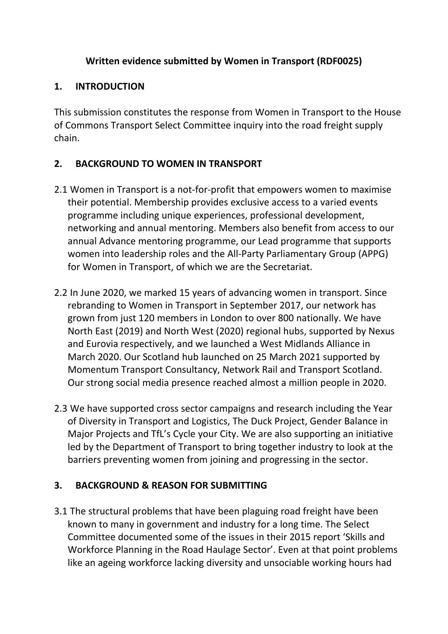## **Written evidence submitted by Women in Transport (RDF0025)**

# **1. INTRODUCTION**

This submission constitutes the response from Women in Transport to the House of Commons Transport Select Committee inquiry into the road freight supply chain.

# **2. BACKGROUND TO WOMEN IN TRANSPORT**

- 2.1 Women in Transport is a not-for-profit that empowers women to maximise their potential. Membership provides exclusive access to a varied events programme including unique experiences, professional development, networking and annual mentoring. Members also benefit from access to our annual Advance mentoring programme, our Lead programme that supports women into leadership roles and the All-Party Parliamentary Group (APPG) for Women in Transport, of which we are the Secretariat.
- 2.2 In June 2020, we marked 15 years of advancing women in transport. Since rebranding to Women in Transport in September 2017, our network has grown from just 120 members in London to over 800 nationally. We have North East (2019) and North West (2020) regional hubs, supported by Nexus and Eurovia respectively, and we launched a West Midlands Alliance in March 2020. Our Scotland hub launched on 25 March 2021 supported by Momentum Transport Consultancy, Network Rail and Transport Scotland. Our strong social media presence reached almost a million people in 2020.
- 2.3 We have supported cross sector campaigns and research including the Year of Diversity in Transport and Logistics, The Duck Project, Gender Balance in Major Projects and TfL's Cycle your City. We are also supporting an initiative led by the Department of Transport to bring together industry to look at the barriers preventing women from joining and progressing in the sector.

# **3. BACKGROUND & REASON FOR SUBMITTING**

3.1 The structural problems that have been plaguing road freight have been known to many in government and industry for a long time. The Select Committee documented some of the issues in their 2015 report 'Skills and Workforce Planning in the Road Haulage Sector'. Even at that point problems like an ageing workforce lacking diversity and unsociable working hours had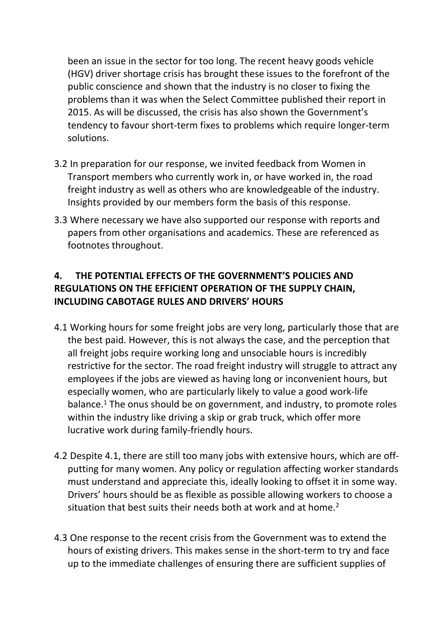been an issue in the sector for too long. The recent heavy goods vehicle (HGV) driver shortage crisis has brought these issues to the forefront of the public conscience and shown that the industry is no closer to fixing the problems than it was when the Select Committee published their report in 2015. As will be discussed, the crisis has also shown the Government's tendency to favour short-term fixes to problems which require longer-term solutions.

- 3.2 In preparation for our response, we invited feedback from Women in Transport members who currently work in, or have worked in, the road freight industry as well as others who are knowledgeable of the industry. Insights provided by our members form the basis of this response.
- 3.3 Where necessary we have also supported our response with reports and papers from other organisations and academics. These are referenced as footnotes throughout.

### **4. THE POTENTIAL EFFECTS OF THE GOVERNMENT'S POLICIES AND REGULATIONS ON THE EFFICIENT OPERATION OF THE SUPPLY CHAIN, INCLUDING CABOTAGE RULES AND DRIVERS' HOURS**

- 4.1 Working hours for some freight jobs are very long, particularly those that are the best paid. However, this is not always the case, and the perception that all freight jobs require working long and unsociable hours is incredibly restrictive for the sector. The road freight industry will struggle to attract any employees if the jobs are viewed as having long or inconvenient hours, but especially women, who are particularly likely to value a good work-life balance.<sup>1</sup> The onus should be on government, and industry, to promote roles within the industry like driving a skip or grab truck, which offer more lucrative work during family-friendly hours.
- 4.2 Despite 4.1, there are still too many jobs with extensive hours, which are offputting for many women. Any policy or regulation affecting worker standards must understand and appreciate this, ideally looking to offset it in some way. Drivers' hours should be as flexible as possible allowing workers to choose a situation that best suits their needs both at work and at home.<sup>2</sup>
- 4.3 One response to the recent crisis from the Government was to extend the hours of existing drivers. This makes sense in the short-term to try and face up to the immediate challenges of ensuring there are sufficient supplies of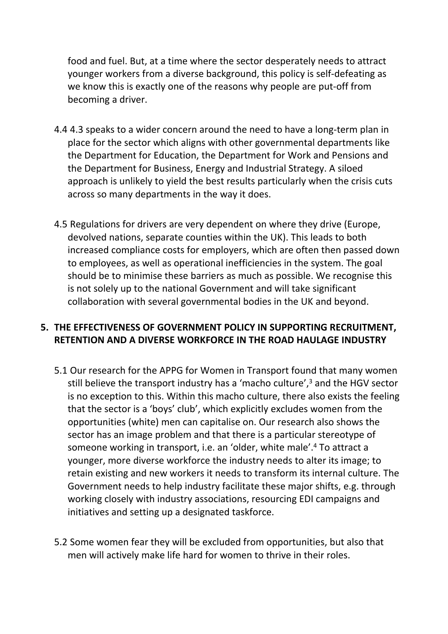food and fuel. But, at a time where the sector desperately needs to attract younger workers from a diverse background, this policy is self-defeating as we know this is exactly one of the reasons why people are put-off from becoming a driver.

- 4.4 4.3 speaks to a wider concern around the need to have a long-term plan in place for the sector which aligns with other governmental departments like the Department for Education, the Department for Work and Pensions and the Department for Business, Energy and Industrial Strategy. A siloed approach is unlikely to yield the best results particularly when the crisis cuts across so many departments in the way it does.
- 4.5 Regulations for drivers are very dependent on where they drive (Europe, devolved nations, separate counties within the UK). This leads to both increased compliance costs for employers, which are often then passed down to employees, as well as operational inefficiencies in the system. The goal should be to minimise these barriers as much as possible. We recognise this is not solely up to the national Government and will take significant collaboration with several governmental bodies in the UK and beyond.

#### **5. THE EFFECTIVENESS OF GOVERNMENT POLICY IN SUPPORTING RECRUITMENT, RETENTION AND A DIVERSE WORKFORCE IN THE ROAD HAULAGE INDUSTRY**

- 5.1 Our research for the APPG for Women in Transport found that many women still believe the transport industry has a 'macho culture',<sup>3</sup> and the HGV sector is no exception to this. Within this macho culture, there also exists the feeling that the sector is a 'boys' club', which explicitly excludes women from the opportunities (white) men can capitalise on. Our research also shows the sector has an image problem and that there is a particular stereotype of someone working in transport, i.e. an 'older, white male'.<sup>4</sup> To attract a younger, more diverse workforce the industry needs to alter its image; to retain existing and new workers it needs to transform its internal culture. The Government needs to help industry facilitate these major shifts, e.g. through working closely with industry associations, resourcing EDI campaigns and initiatives and setting up a designated taskforce.
- 5.2 Some women fear they will be excluded from opportunities, but also that men will actively make life hard for women to thrive in their roles.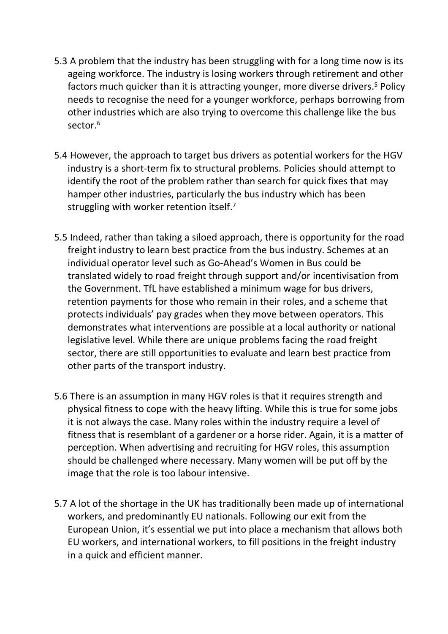- 5.3 A problem that the industry has been struggling with for a long time now is its ageing workforce. The industry is losing workers through retirement and other factors much quicker than it is attracting younger, more diverse drivers.<sup>5</sup> Policy needs to recognise the need for a younger workforce, perhaps borrowing from other industries which are also trying to overcome this challenge like the bus sector.<sup>6</sup>
- 5.4 However, the approach to target bus drivers as potential workers for the HGV industry is a short-term fix to structural problems. Policies should attempt to identify the root of the problem rather than search for quick fixes that may hamper other industries, particularly the bus industry which has been struggling with worker retention itself.<sup>7</sup>
- 5.5 Indeed, rather than taking a siloed approach, there is opportunity for the road freight industry to learn best practice from the bus industry. Schemes at an individual operator level such as Go-Ahead's Women in Bus could be translated widely to road freight through support and/or incentivisation from the Government. TfL have established a minimum wage for bus drivers, retention payments for those who remain in their roles, and a scheme that protects individuals' pay grades when they move between operators. This demonstrates what interventions are possible at a local authority or national legislative level. While there are unique problems facing the road freight sector, there are still opportunities to evaluate and learn best practice from other parts of the transport industry.
- 5.6 There is an assumption in many HGV roles is that it requires strength and physical fitness to cope with the heavy lifting. While this is true for some jobs it is not always the case. Many roles within the industry require a level of fitness that is resemblant of a gardener or a horse rider. Again, it is a matter of perception. When advertising and recruiting for HGV roles, this assumption should be challenged where necessary. Many women will be put off by the image that the role is too labour intensive.
- 5.7 A lot of the shortage in the UK has traditionally been made up of international workers, and predominantly EU nationals. Following our exit from the European Union, it's essential we put into place a mechanism that allows both EU workers, and international workers, to fill positions in the freight industry in a quick and efficient manner.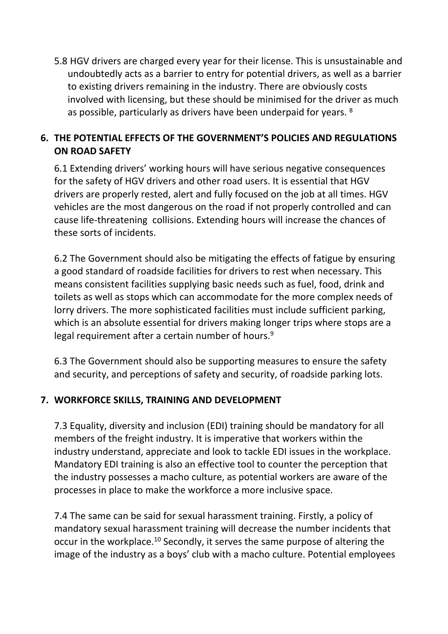5.8 HGV drivers are charged every year for their license. This is unsustainable and undoubtedly acts as a barrier to entry for potential drivers, as well as a barrier to existing drivers remaining in the industry. There are obviously costs involved with licensing, but these should be minimised for the driver as much as possible, particularly as drivers have been underpaid for years. <sup>8</sup>

### **6. THE POTENTIAL EFFECTS OF THE GOVERNMENT'S POLICIES AND REGULATIONS ON ROAD SAFETY**

6.1 Extending drivers' working hours will have serious negative consequences for the safety of HGV drivers and other road users. It is essential that HGV drivers are properly rested, alert and fully focused on the job at all times. HGV vehicles are the most dangerous on the road if not properly controlled and can cause life-threatening collisions. Extending hours will increase the chances of these sorts of incidents.

6.2 The Government should also be mitigating the effects of fatigue by ensuring a good standard of roadside facilities for drivers to rest when necessary. This means consistent facilities supplying basic needs such as fuel, food, drink and toilets as well as stops which can accommodate for the more complex needs of lorry drivers. The more sophisticated facilities must include sufficient parking, which is an absolute essential for drivers making longer trips where stops are a legal requirement after a certain number of hours.<sup>9</sup>

6.3 The Government should also be supporting measures to ensure the safety and security, and perceptions of safety and security, of roadside parking lots.

### **7. WORKFORCE SKILLS, TRAINING AND DEVELOPMENT**

7.3 Equality, diversity and inclusion (EDI) training should be mandatory for all members of the freight industry. It is imperative that workers within the industry understand, appreciate and look to tackle EDI issues in the workplace. Mandatory EDI training is also an effective tool to counter the perception that the industry possesses a macho culture, as potential workers are aware of the processes in place to make the workforce a more inclusive space.

7.4 The same can be said for sexual harassment training. Firstly, a policy of mandatory sexual harassment training will decrease the number incidents that occur in the workplace.<sup>10</sup> Secondly, it serves the same purpose of altering the image of the industry as a boys' club with a macho culture. Potential employees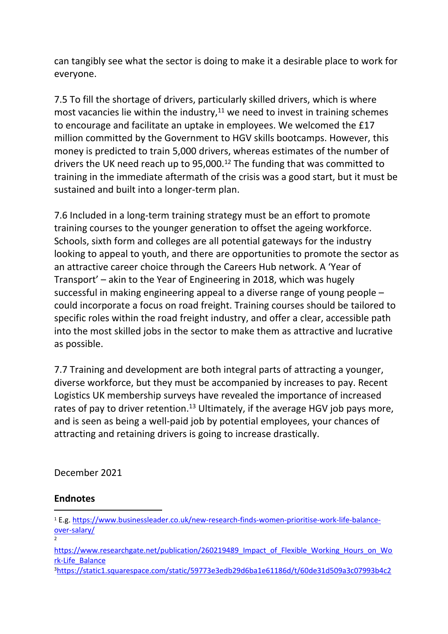can tangibly see what the sector is doing to make it a desirable place to work for everyone.

7.5 To fill the shortage of drivers, particularly skilled drivers, which is where most vacancies lie within the industry, $11$  we need to invest in training schemes to encourage and facilitate an uptake in employees. We welcomed the £17 million committed by the Government to HGV skills bootcamps. However, this money is predicted to train 5,000 drivers, whereas estimates of the number of drivers the UK need reach up to 95,000.<sup>12</sup> The funding that was committed to training in the immediate aftermath of the crisis was a good start, but it must be sustained and built into a longer-term plan.

7.6 Included in a long-term training strategy must be an effort to promote training courses to the younger generation to offset the ageing workforce. Schools, sixth form and colleges are all potential gateways for the industry looking to appeal to youth, and there are opportunities to promote the sector as an attractive career choice through the Careers Hub network. A 'Year of Transport' – akin to the Year of Engineering in 2018, which was hugely successful in making engineering appeal to a diverse range of young people – could incorporate a focus on road freight. Training courses should be tailored to specific roles within the road freight industry, and offer a clear, accessible path into the most skilled jobs in the sector to make them as attractive and lucrative as possible.

7.7 Training and development are both integral parts of attracting a younger, diverse workforce, but they must be accompanied by increases to pay. Recent Logistics UK membership surveys have revealed the importance of increased rates of pay to driver retention.<sup>13</sup> Ultimately, if the average HGV job pays more, and is seen as being a well-paid job by potential employees, your chances of attracting and retaining drivers is going to increase drastically.

December 2021

#### **Endnotes**

3[https://static1.squarespace.com/static/59773e3edb29d6ba1e61186d/t/60de31d509a3c07993b4c2](https://static1.squarespace.com/static/59773e3edb29d6ba1e61186d/t/60de31d509a3c07993b4c263/1625174489655/WIT_APPG_REPORT_07.pdf)

<sup>1</sup> E.g. [https://www.businessleader.co.uk/new-research-finds-women-prioritise-work-life-balance](https://www.businessleader.co.uk/new-research-finds-women-prioritise-work-life-balance-over-salary/)[over-salary/](https://www.businessleader.co.uk/new-research-finds-women-prioritise-work-life-balance-over-salary/)

<sup>2</sup>

https://www.researchgate.net/publication/260219489 Impact of Flexible Working Hours on Wo [rk-Life\\_Balance](https://www.researchgate.net/publication/260219489_Impact_of_Flexible_Working_Hours_on_Work-Life_Balance)